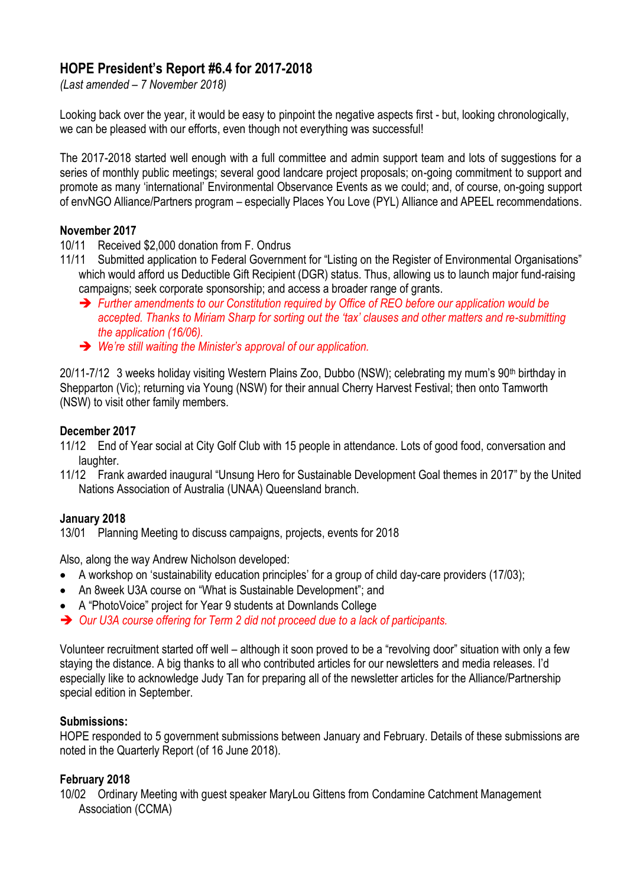# **HOPE President's Report #6.4 for 2017-2018**

*(Last amended – 7 November 2018)*

Looking back over the year, it would be easy to pinpoint the negative aspects first - but, looking chronologically, we can be pleased with our efforts, even though not everything was successful!

The 2017-2018 started well enough with a full committee and admin support team and lots of suggestions for a series of monthly public meetings; several good landcare project proposals; on-going commitment to support and promote as many 'international' Environmental Observance Events as we could; and, of course, on-going support of envNGO Alliance/Partners program – especially Places You Love (PYL) Alliance and APEEL recommendations.

#### **November 2017**

10/11 Received \$2,000 donation from F. Ondrus

- 11/11 Submitted application to Federal Government for "Listing on the Register of Environmental Organisations" which would afford us Deductible Gift Recipient (DGR) status. Thus, allowing us to launch major fund-raising campaigns; seek corporate sponsorship; and access a broader range of grants.
	- ➔ *Further amendments to our Constitution required by Office of REO before our application would be accepted. Thanks to Miriam Sharp for sorting out the 'tax' clauses and other matters and re-submitting the application (16/06).*
	- ➔ *We're still waiting the Minister's approval of our application.*

20/11-7/12 3 weeks holiday visiting Western Plains Zoo, Dubbo (NSW); celebrating my mum's 90th birthday in Shepparton (Vic); returning via Young (NSW) for their annual Cherry Harvest Festival; then onto Tamworth (NSW) to visit other family members.

#### **December 2017**

- 11/12 End of Year social at City Golf Club with 15 people in attendance. Lots of good food, conversation and laughter.
- 11/12 Frank awarded inaugural "Unsung Hero for Sustainable Development Goal themes in 2017" by the United Nations Association of Australia (UNAA) Queensland branch.

#### **January 2018**

13/01 Planning Meeting to discuss campaigns, projects, events for 2018

Also, along the way Andrew Nicholson developed:

- A workshop on 'sustainability education principles' for a group of child day-care providers (17/03);
- An 8week U3A course on "What is Sustainable Development"; and
- A "PhotoVoice" project for Year 9 students at Downlands College
- ➔ *Our U3A course offering for Term 2 did not proceed due to a lack of participants.*

Volunteer recruitment started off well – although it soon proved to be a "revolving door" situation with only a few staying the distance. A big thanks to all who contributed articles for our newsletters and media releases. I'd especially like to acknowledge Judy Tan for preparing all of the newsletter articles for the Alliance/Partnership special edition in September.

#### **Submissions:**

HOPE responded to 5 government submissions between January and February. Details of these submissions are noted in the Quarterly Report (of 16 June 2018).

#### **February 2018**

10/02 Ordinary Meeting with guest speaker MaryLou Gittens from Condamine Catchment Management Association (CCMA)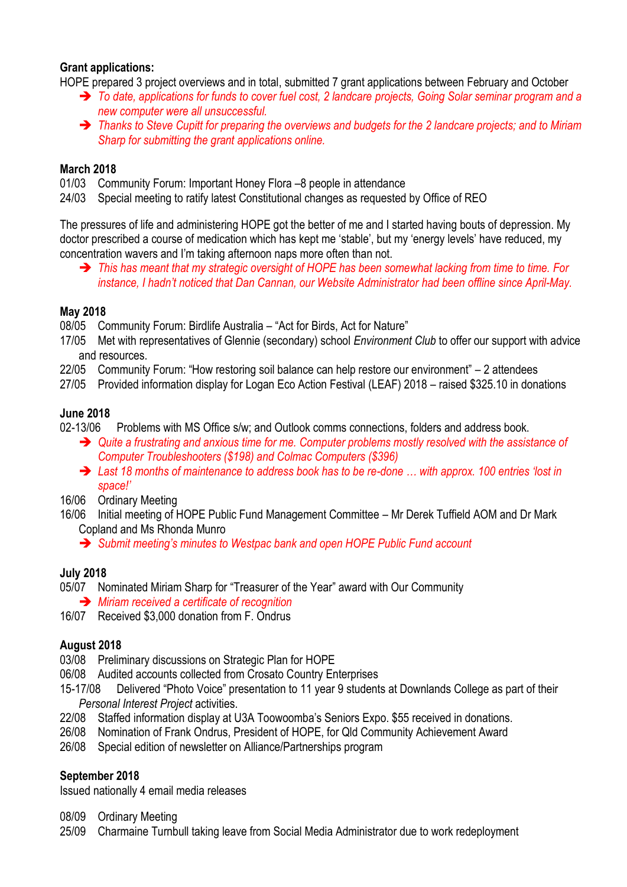#### **Grant applications:**

HOPE prepared 3 project overviews and in total, submitted 7 grant applications between February and October

- ➔ *To date, applications for funds to cover fuel cost, 2 landcare projects, Going Solar seminar program and a new computer were all unsuccessful.*
- ➔ *Thanks to Steve Cupitt for preparing the overviews and budgets for the 2 landcare projects; and to Miriam Sharp for submitting the grant applications online.*

#### **March 2018**

- 01/03 Community Forum: Important Honey Flora –8 people in attendance
- 24/03 Special meeting to ratify latest Constitutional changes as requested by Office of REO

The pressures of life and administering HOPE got the better of me and I started having bouts of depression. My doctor prescribed a course of medication which has kept me 'stable', but my 'energy levels' have reduced, my concentration wavers and I'm taking afternoon naps more often than not.

➔ *This has meant that my strategic oversight of HOPE has been somewhat lacking from time to time. For instance, I hadn't noticed that Dan Cannan, our Website Administrator had been offline since April-May.*

# **May 2018**

08/05 Community Forum: Birdlife Australia – "Act for Birds, Act for Nature"

- 17/05 Met with representatives of Glennie (secondary) school *Environment Club* to offer our support with advice and resources.
- 22/05 Community Forum: "How restoring soil balance can help restore our environment" 2 attendees
- 27/05 Provided information display for Logan Eco Action Festival (LEAF) 2018 raised \$325.10 in donations

## **June 2018**

02-13/06 Problems with MS Office s/w; and Outlook comms connections, folders and address book.

- ➔ *Quite a frustrating and anxious time for me. Computer problems mostly resolved with the assistance of Computer Troubleshooters (\$198) and Colmac Computers (\$396)*
- ➔ *Last 18 months of maintenance to address book has to be re-done … with approx. 100 entries 'lost in space!'*

16/06 Ordinary Meeting

- 16/06 Initial meeting of HOPE Public Fund Management Committee Mr Derek Tuffield AOM and Dr Mark Copland and Ms Rhonda Munro
	- ➔ *Submit meeting's minutes to Westpac bank and open HOPE Public Fund account*

# **July 2018**

05/07 Nominated Miriam Sharp for "Treasurer of the Year" award with Our Community

➔ *Miriam received a certificate of recognition*

16/07 Received \$3,000 donation from F. Ondrus

#### **August 2018**

- 03/08 Preliminary discussions on Strategic Plan for HOPE
- 06/08 Audited accounts collected from Crosato Country Enterprises
- 15-17/08 Delivered "Photo Voice" presentation to 11 year 9 students at Downlands College as part of their *Personal Interest Project* activities.
- 22/08 Staffed information display at U3A Toowoomba's Seniors Expo. \$55 received in donations.
- 26/08 Nomination of Frank Ondrus, President of HOPE, for Qld Community Achievement Award
- 26/08 Special edition of newsletter on Alliance/Partnerships program

# **September 2018**

Issued nationally 4 email media releases

08/09 Ordinary Meeting

25/09 Charmaine Turnbull taking leave from Social Media Administrator due to work redeployment